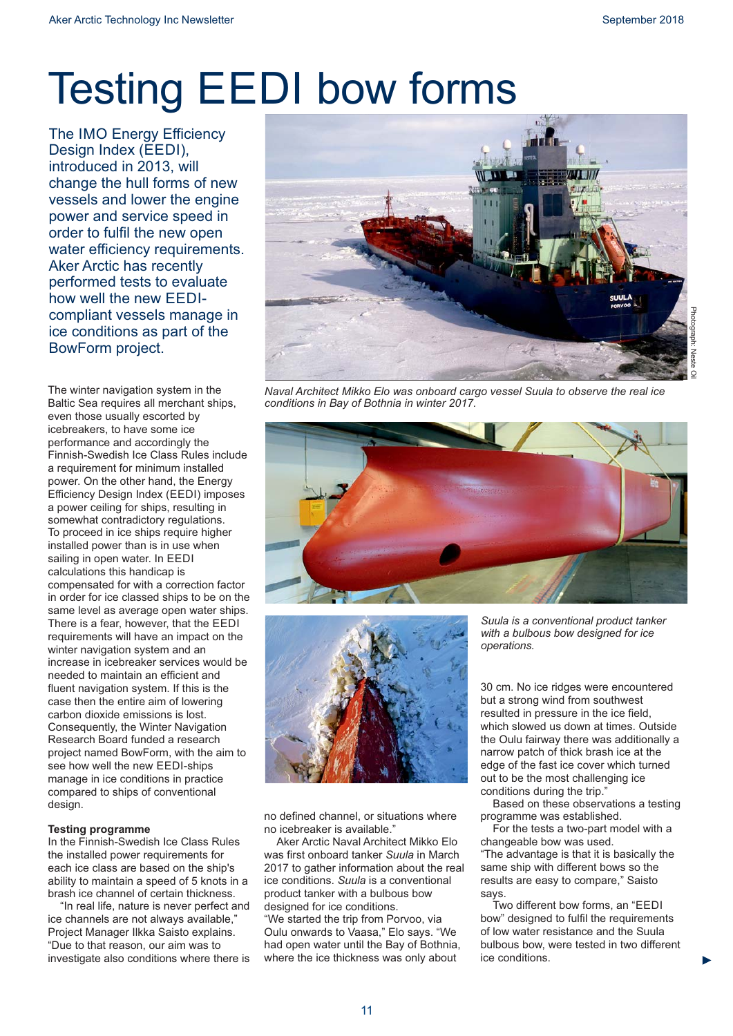## Testing EEDI bow forms

The IMO Energy Efficiency Design Index (EEDI). introduced in 2013, will change the hull forms of new vessels and lower the engine power and service speed in order to fulfil the new open water efficiency requirements. Aker Arctic has recently performed tests to evaluate how well the new EEDIcompliant vessels manage in ice conditions as part of the BowForm project.

The winter navigation system in the Baltic Sea requires all merchant ships, even those usually escorted by icebreakers, to have some ice performance and accordingly the Finnish-Swedish Ice Class Rules include a requirement for minimum installed power. On the other hand, the Energy Efficiency Design Index (EEDI) imposes a power ceiling for ships, resulting in somewhat contradictory regulations. To proceed in ice ships require higher installed power than is in use when sailing in open water. In EEDI calculations this handicap is compensated for with a correction factor in order for ice classed ships to be on the same level as average open water ships. There is a fear, however, that the EEDI requirements will have an impact on the winter navigation system and an increase in icebreaker services would be needed to maintain an efficient and fluent navigation system. If this is the case then the entire aim of lowering carbon dioxide emissions is lost. Consequently, the Winter Navigation Research Board funded a research project named BowForm, with the aim to see how well the new EEDI-ships manage in ice conditions in practice compared to ships of conventional design.

## **Testing programme**

In the Finnish-Swedish Ice Class Rules the installed power requirements for each ice class are based on the ship's ability to maintain a speed of 5 knots in a brash ice channel of certain thickness.

"In real life, nature is never perfect and ice channels are not always available," Project Manager Ilkka Saisto explains. "Due to that reason, our aim was to investigate also conditions where there is



*Naval Architect Mikko Elo was onboard cargo vessel Suula to observe the real ice conditions in Bay of Bothnia in winter 2017.*





no defined channel, or situations where no icebreaker is available."

Aker Arctic Naval Architect Mikko Elo was first onboard tanker Suula in March 2017 to gather information about the real ice conditions. Suula is a conventional product tanker with a bulbous bow designed for ice conditions. "We started the trip from Porvoo, via Oulu onwards to Vaasa," Elo says. "We had open water until the Bay of Bothnia, where the ice thickness was only about

*Suula is a conventional product tanker with a bulbous bow designed for ice operations.*

30 cm. No ice ridges were encountered but a strong wind from southwest resulted in pressure in the ice field, which slowed us down at times. Outside the Oulu fairway there was additionally a narrow patch of thick brash ice at the edge of the fast ice cover which turned out to be the most challenging ice conditions during the trip."

Based on these observations a testing programme was established.

For the tests a two-part model with a changeable bow was used. "The advantage is that it is basically the same ship with different bows so the results are easy to compare," Saisto says.

Two different bow forms, an "EEDI bow" designed to fulfil the requirements of low water resistance and the Suula bulbous bow, were tested in two different ice conditions.